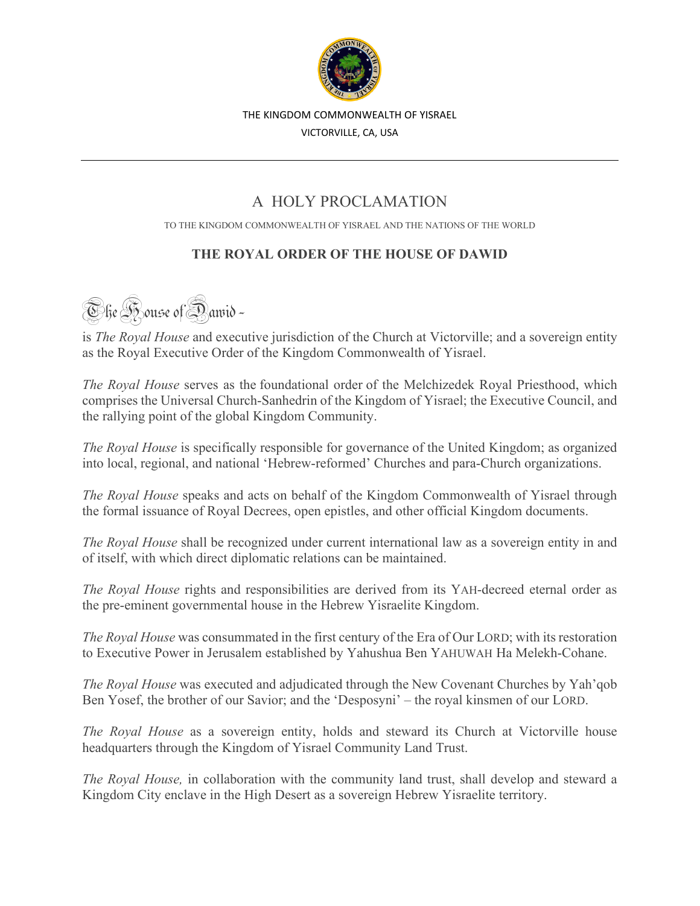

THE KINGDOM COMMONWEALTH OF YISRAEL

VICTORVILLE, CA, USA

## A HOLY PROCLAMATION

TO THE KINGDOM COMMONWEALTH OF YISRAEL AND THE NATIONS OF THE WORLD

## **THE ROYAL ORDER OF THE HOUSE OF DAWID**

**The Bouse of Dawid-**

is *The Royal House* and executive jurisdiction of the Church at Victorville; and a sovereign entity as the Royal Executive Order of the Kingdom Commonwealth of Yisrael.

*The Royal House* serves as the foundational order of the Melchizedek Royal Priesthood, which comprises the Universal Church-Sanhedrin of the Kingdom of Yisrael; the Executive Council, and the rallying point of the global Kingdom Community.

*The Royal House* is specifically responsible for governance of the United Kingdom; as organized into local, regional, and national 'Hebrew-reformed' Churches and para-Church organizations.

*The Royal House* speaks and acts on behalf of the Kingdom Commonwealth of Yisrael through the formal issuance of Royal Decrees, open epistles, and other official Kingdom documents.

*The Royal House* shall be recognized under current international law as a sovereign entity in and of itself, with which direct diplomatic relations can be maintained.

*The Royal House* rights and responsibilities are derived from its YAH-decreed eternal order as the pre-eminent governmental house in the Hebrew Yisraelite Kingdom.

*The Royal House* was consummated in the first century of the Era of Our LORD; with its restoration to Executive Power in Jerusalem established by Yahushua Ben YAHUWAH Ha Melekh-Cohane.

*The Royal House* was executed and adjudicated through the New Covenant Churches by Yah'qob Ben Yosef, the brother of our Savior; and the 'Desposyni' – the royal kinsmen of our LORD.

*The Royal House* as a sovereign entity, holds and steward its Church at Victorville house headquarters through the Kingdom of Yisrael Community Land Trust.

*The Royal House,* in collaboration with the community land trust, shall develop and steward a Kingdom City enclave in the High Desert as a sovereign Hebrew Yisraelite territory.